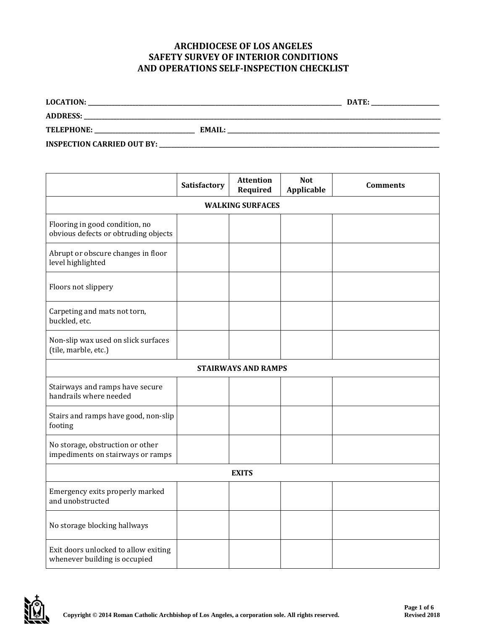## **ARCHDIOCESE OF LOS ANGELES SAFETY SURVEY OF INTERIOR CONDITIONS AND OPERATIONS SELF-INSPECTION CHECKLIST**

| <b>LOCATION:</b>                  |        | DATE: |
|-----------------------------------|--------|-------|
| <b>ADDRESS:</b>                   |        |       |
| <b>TELEPHONE:</b>                 | EMAIL: |       |
| <b>INSPECTION CARRIED OUT BY:</b> |        |       |

|                                                                        | Satisfactory | <b>Attention</b><br>Required | <b>Not</b><br>Applicable | <b>Comments</b> |
|------------------------------------------------------------------------|--------------|------------------------------|--------------------------|-----------------|
| <b>WALKING SURFACES</b>                                                |              |                              |                          |                 |
| Flooring in good condition, no<br>obvious defects or obtruding objects |              |                              |                          |                 |
| Abrupt or obscure changes in floor<br>level highlighted                |              |                              |                          |                 |
| Floors not slippery                                                    |              |                              |                          |                 |
| Carpeting and mats not torn,<br>buckled, etc.                          |              |                              |                          |                 |
| Non-slip wax used on slick surfaces<br>(tile, marble, etc.)            |              |                              |                          |                 |
|                                                                        |              | <b>STAIRWAYS AND RAMPS</b>   |                          |                 |
| Stairways and ramps have secure<br>handrails where needed              |              |                              |                          |                 |
| Stairs and ramps have good, non-slip<br>footing                        |              |                              |                          |                 |
| No storage, obstruction or other<br>impediments on stairways or ramps  |              |                              |                          |                 |
| <b>EXITS</b>                                                           |              |                              |                          |                 |
| Emergency exits properly marked<br>and unobstructed                    |              |                              |                          |                 |
| No storage blocking hallways                                           |              |                              |                          |                 |
| Exit doors unlocked to allow exiting<br>whenever building is occupied  |              |                              |                          |                 |

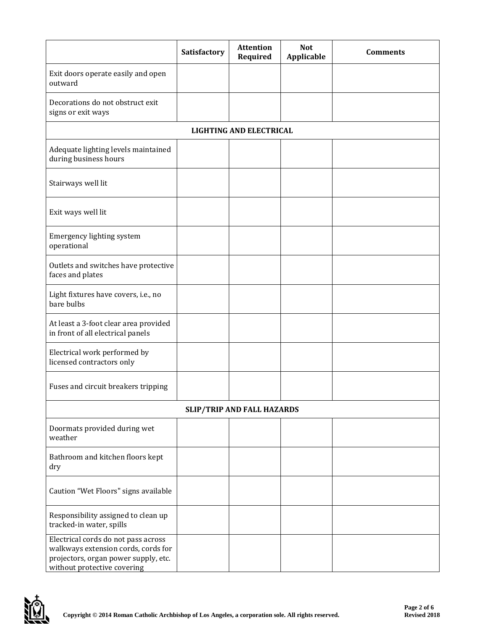|                                                                                                                                                   | <b>Satisfactory</b> | <b>Attention</b><br>Required   | <b>Not</b><br>Applicable | <b>Comments</b> |  |
|---------------------------------------------------------------------------------------------------------------------------------------------------|---------------------|--------------------------------|--------------------------|-----------------|--|
| Exit doors operate easily and open<br>outward                                                                                                     |                     |                                |                          |                 |  |
| Decorations do not obstruct exit<br>signs or exit ways                                                                                            |                     |                                |                          |                 |  |
|                                                                                                                                                   |                     | <b>LIGHTING AND ELECTRICAL</b> |                          |                 |  |
| Adequate lighting levels maintained<br>during business hours                                                                                      |                     |                                |                          |                 |  |
| Stairways well lit                                                                                                                                |                     |                                |                          |                 |  |
| Exit ways well lit                                                                                                                                |                     |                                |                          |                 |  |
| Emergency lighting system<br>operational                                                                                                          |                     |                                |                          |                 |  |
| Outlets and switches have protective<br>faces and plates                                                                                          |                     |                                |                          |                 |  |
| Light fixtures have covers, i.e., no<br>bare bulbs                                                                                                |                     |                                |                          |                 |  |
| At least a 3-foot clear area provided<br>in front of all electrical panels                                                                        |                     |                                |                          |                 |  |
| Electrical work performed by<br>licensed contractors only                                                                                         |                     |                                |                          |                 |  |
| Fuses and circuit breakers tripping                                                                                                               |                     |                                |                          |                 |  |
| <b>SLIP/TRIP AND FALL HAZARDS</b>                                                                                                                 |                     |                                |                          |                 |  |
| Doormats provided during wet<br>weather                                                                                                           |                     |                                |                          |                 |  |
| Bathroom and kitchen floors kept<br>dry                                                                                                           |                     |                                |                          |                 |  |
| Caution "Wet Floors" signs available                                                                                                              |                     |                                |                          |                 |  |
| Responsibility assigned to clean up<br>tracked-in water, spills                                                                                   |                     |                                |                          |                 |  |
| Electrical cords do not pass across<br>walkways extension cords, cords for<br>projectors, organ power supply, etc.<br>without protective covering |                     |                                |                          |                 |  |

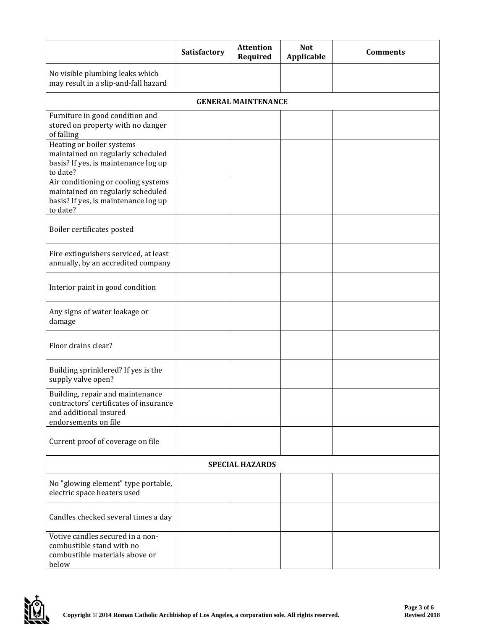|                                                                                                                              | Satisfactory | <b>Attention</b><br>Required | <b>Not</b><br>Applicable | <b>Comments</b> |
|------------------------------------------------------------------------------------------------------------------------------|--------------|------------------------------|--------------------------|-----------------|
| No visible plumbing leaks which<br>may result in a slip-and-fall hazard                                                      |              |                              |                          |                 |
|                                                                                                                              |              | <b>GENERAL MAINTENANCE</b>   |                          |                 |
| Furniture in good condition and<br>stored on property with no danger<br>of falling                                           |              |                              |                          |                 |
| Heating or boiler systems<br>maintained on regularly scheduled<br>basis? If yes, is maintenance log up<br>to date?           |              |                              |                          |                 |
| Air conditioning or cooling systems<br>maintained on regularly scheduled<br>basis? If yes, is maintenance log up<br>to date? |              |                              |                          |                 |
| Boiler certificates posted                                                                                                   |              |                              |                          |                 |
| Fire extinguishers serviced, at least<br>annually, by an accredited company                                                  |              |                              |                          |                 |
| Interior paint in good condition                                                                                             |              |                              |                          |                 |
| Any signs of water leakage or<br>damage                                                                                      |              |                              |                          |                 |
| Floor drains clear?                                                                                                          |              |                              |                          |                 |
| Building sprinklered? If yes is the<br>supply valve open?                                                                    |              |                              |                          |                 |
| Building, repair and maintenance<br>contractors' certificates of insurance<br>and additional insured<br>endorsements on file |              |                              |                          |                 |
| Current proof of coverage on file                                                                                            |              |                              |                          |                 |
| <b>SPECIAL HAZARDS</b>                                                                                                       |              |                              |                          |                 |
| No "glowing element" type portable,<br>electric space heaters used                                                           |              |                              |                          |                 |
| Candles checked several times a day                                                                                          |              |                              |                          |                 |
| Votive candles secured in a non-<br>combustible stand with no<br>combustible materials above or<br>below                     |              |                              |                          |                 |

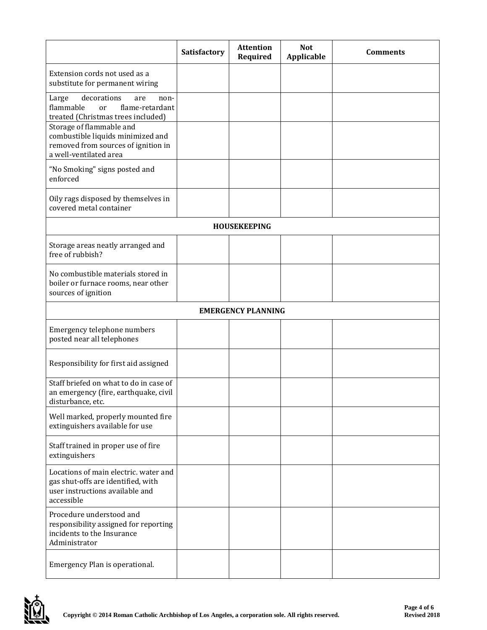|                                                                                                                                | Satisfactory | <b>Attention</b><br>Required | <b>Not</b><br>Applicable | <b>Comments</b> |
|--------------------------------------------------------------------------------------------------------------------------------|--------------|------------------------------|--------------------------|-----------------|
| Extension cords not used as a<br>substitute for permanent wiring                                                               |              |                              |                          |                 |
| decorations<br>Large<br>non-<br>are<br>flammable<br>flame-retardant<br><sub>or</sub><br>treated (Christmas trees included)     |              |                              |                          |                 |
| Storage of flammable and<br>combustible liquids minimized and<br>removed from sources of ignition in<br>a well-ventilated area |              |                              |                          |                 |
| "No Smoking" signs posted and<br>enforced                                                                                      |              |                              |                          |                 |
| Oily rags disposed by themselves in<br>covered metal container                                                                 |              |                              |                          |                 |
|                                                                                                                                |              | <b>HOUSEKEEPING</b>          |                          |                 |
| Storage areas neatly arranged and<br>free of rubbish?                                                                          |              |                              |                          |                 |
| No combustible materials stored in<br>boiler or furnace rooms, near other<br>sources of ignition                               |              |                              |                          |                 |
|                                                                                                                                |              | <b>EMERGENCY PLANNING</b>    |                          |                 |
| Emergency telephone numbers<br>posted near all telephones                                                                      |              |                              |                          |                 |
| Responsibility for first aid assigned                                                                                          |              |                              |                          |                 |
| Staff briefed on what to do in case of<br>an emergency (fire, earthquake, civil<br>disturbance, etc.                           |              |                              |                          |                 |
| Well marked, properly mounted fire<br>extinguishers available for use                                                          |              |                              |                          |                 |
| Staff trained in proper use of fire<br>extinguishers                                                                           |              |                              |                          |                 |
| Locations of main electric. water and<br>gas shut-offs are identified, with<br>user instructions available and<br>accessible   |              |                              |                          |                 |
| Procedure understood and<br>responsibility assigned for reporting<br>incidents to the Insurance<br>Administrator               |              |                              |                          |                 |
| Emergency Plan is operational.                                                                                                 |              |                              |                          |                 |

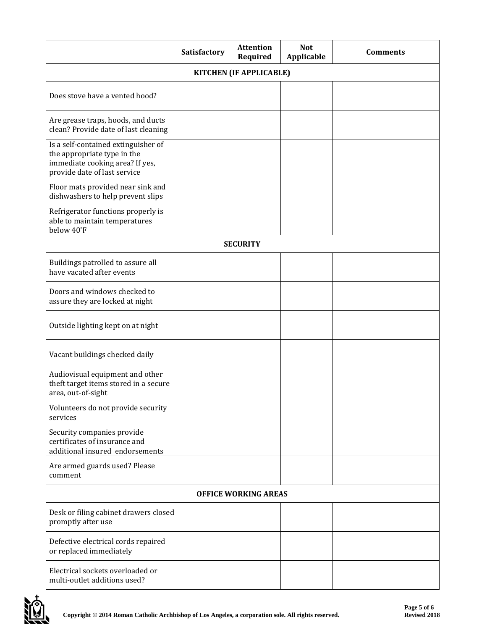|                                                                                                                                       | Satisfactory | <b>Attention</b><br>Required | <b>Not</b><br>Applicable | <b>Comments</b> |
|---------------------------------------------------------------------------------------------------------------------------------------|--------------|------------------------------|--------------------------|-----------------|
| KITCHEN (IF APPLICABLE)                                                                                                               |              |                              |                          |                 |
| Does stove have a vented hood?                                                                                                        |              |                              |                          |                 |
| Are grease traps, hoods, and ducts<br>clean? Provide date of last cleaning                                                            |              |                              |                          |                 |
| Is a self-contained extinguisher of<br>the appropriate type in the<br>immediate cooking area? If yes,<br>provide date of last service |              |                              |                          |                 |
| Floor mats provided near sink and<br>dishwashers to help prevent slips                                                                |              |                              |                          |                 |
| Refrigerator functions properly is<br>able to maintain temperatures<br>below 40'F                                                     |              |                              |                          |                 |
|                                                                                                                                       |              | <b>SECURITY</b>              |                          |                 |
| Buildings patrolled to assure all<br>have vacated after events                                                                        |              |                              |                          |                 |
| Doors and windows checked to<br>assure they are locked at night                                                                       |              |                              |                          |                 |
| Outside lighting kept on at night                                                                                                     |              |                              |                          |                 |
| Vacant buildings checked daily                                                                                                        |              |                              |                          |                 |
| Audiovisual equipment and other<br>theft target items stored in a secure<br>area, out-of-sight                                        |              |                              |                          |                 |
| Volunteers do not provide security<br>services                                                                                        |              |                              |                          |                 |
| Security companies provide<br>certificates of insurance and<br>additional insured endorsements                                        |              |                              |                          |                 |
| Are armed guards used? Please<br>comment                                                                                              |              |                              |                          |                 |
| <b>OFFICE WORKING AREAS</b>                                                                                                           |              |                              |                          |                 |
| Desk or filing cabinet drawers closed<br>promptly after use                                                                           |              |                              |                          |                 |
| Defective electrical cords repaired<br>or replaced immediately                                                                        |              |                              |                          |                 |
| Electrical sockets overloaded or<br>multi-outlet additions used?                                                                      |              |                              |                          |                 |